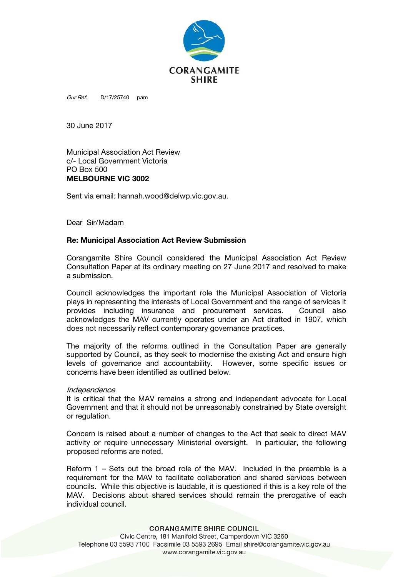

Our Ref: D/17/25740 pam

30 June 2017

Municipal Association Act Review c/- Local Government Victoria PO Box 500 MELBOURNE VIC 3002

Sent via email: hannah.wood@delwp.vic.gov.au.

Dear Sir/Madam

## Re: Municipal Association Act Review Submission

Corangamite Shire Council considered the Municipal Association Act Review Consultation Paper at its ordinary meeting on 27 June 2017 and resolved to make a submission.

Council acknowledges the important role the Municipal Association of Victoria plays in representing the interests of Local Government and the range of services it provides including insurance and procurement services. Council also acknowledges the MAV currently operates under an Act drafted in 1907, which does not necessarily reflect contemporary governance practices.

The majority of the reforms outlined in the Consultation Paper are generally supported by Council, as they seek to modernise the existing Act and ensure high levels of governance and accountability. However, some specific issues or concerns have been identified as outlined below.

## Independence

It is critical that the MAV remains a strong and independent advocate for Local Government and that it should not be unreasonably constrained by State oversight or regulation.

Concern is raised about a number of changes to the Act that seek to direct MAV activity or require unnecessary Ministerial oversight. In particular, the following proposed reforms are noted.

Reform 1 – Sets out the broad role of the MAV. Included in the preamble is a requirement for the MAV to facilitate collaboration and shared services between councils. While this objective is laudable, it is questioned if this is a key role of the MAV. Decisions about shared services should remain the prerogative of each individual council.